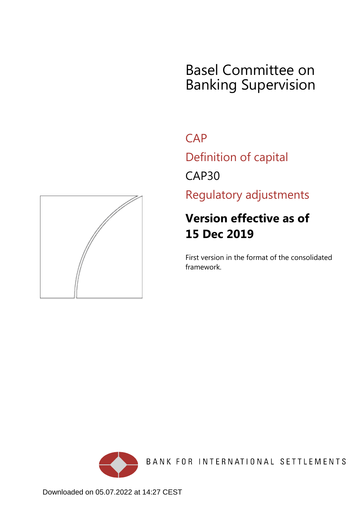# Basel Committee on Banking Supervision

**CAP** 

Definition of capital

CAP30

Regulatory adjustments

# **Version effective as of 15 Dec 2019**

First version in the format of the consolidated framework.





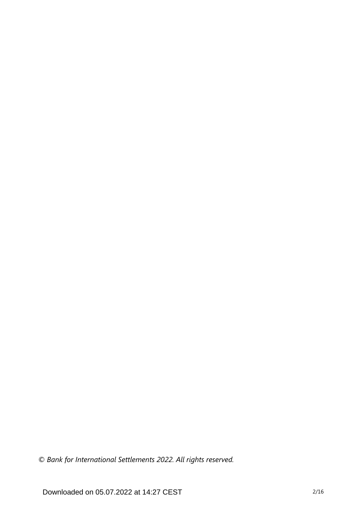*© Bank for International Settlements 2022. All rights reserved.*

Downloaded on 05.07.2022 at 14:27 CEST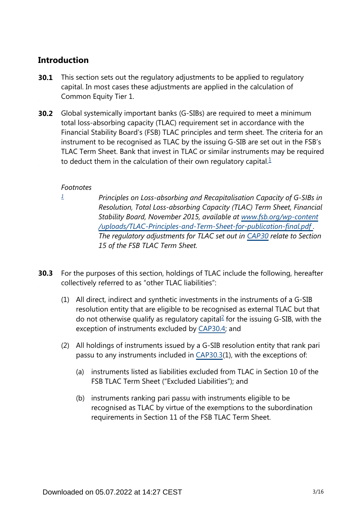## **Introduction**

- This section sets out the regulatory adjustments to be applied to regulatory capital. In most cases these adjustments are applied in the calculation of Common Equity Tier 1. **30.1**
- <span id="page-2-1"></span>**30.2** Global systemically important banks (G-SIBs) are required to meet a minimum total loss-absorbing capacity (TLAC) requirement set in accordance with the Financial Stability Board's (FSB) TLAC principles and term sheet. The criteria for an instrument to be recognised as TLAC by the issuing G-SIB are set out in the FSB's TLAC Term Sheet. Bank that invest in TLAC or similar instruments may be required to deduct them in the calculation of their own regulatory capital. $<sup>1</sup>$  $<sup>1</sup>$  $<sup>1</sup>$ </sup>

## *Footnotes*

<span id="page-2-0"></span>*[1](#page-2-1)*

- *Principles on Loss-absorbing and Recapitalisation Capacity of G-SIBs in Resolution, Total Loss-absorbing Capacity (TLAC) Term Sheet, Financial Stability Board, November 2015, available at [www.fsb.org/wp-content](http://www.fsb.org/wp-content/uploads/TLAC-Principles-and-Term-Sheet-for-publication-final.pdf) [/uploads/TLAC-Principles-and-Term-Sheet-for-publication-final.pdf](http://www.fsb.org/wp-content/uploads/TLAC-Principles-and-Term-Sheet-for-publication-final.pdf) . The regulatory adjustments for TLAC set out in [CAP30](https://www.bis.org/basel_framework/chapter/CAP/30.htm?tldate=20210228&inforce=20191215&published=20191215) relate to Section 15 of the FSB TLAC Term Sheet.*
- <span id="page-2-2"></span>For the purposes of this section, holdings of TLAC include the following, hereafter collectively referred to as "other TLAC liabilities": **30.3**
	- (1) All direct, indirect and synthetic investments in the instruments of a G-SIB resolution entity that are eligible to be recognised as external TLAC but that do not otherwise qualify as regulatory capital $^{2}$  $^{2}$  $^{2}$  for the issuing G-SIB, with the exception of instruments excluded by [CAP30.4;](https://www.bis.org/basel_framework/chapter/CAP/30.htm?tldate=20210228&inforce=20191215&published=20191215#paragraph_CAP_30_20191215_30_4) and
	- (2) All holdings of instruments issued by a G-SIB resolution entity that rank pari passu to any instruments included in [CAP30.3](https://www.bis.org/basel_framework/chapter/CAP/30.htm?tldate=20210228&inforce=20191215&published=20191215#paragraph_CAP_30_20191215_30_3)(1), with the exceptions of:
		- (a) instruments listed as liabilities excluded from TLAC in Section 10 of the FSB TLAC Term Sheet ("Excluded Liabilities"); and
		- (b) instruments ranking pari passu with instruments eligible to be recognised as TLAC by virtue of the exemptions to the subordination requirements in Section 11 of the FSB TLAC Term Sheet.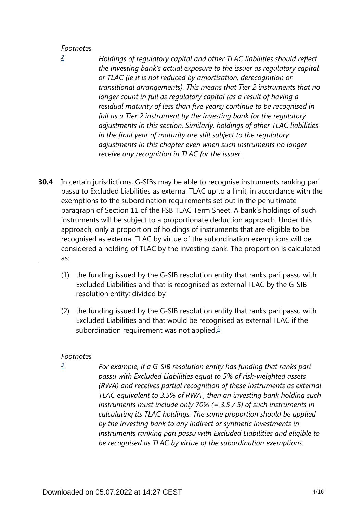### *Footnotes*

<span id="page-3-0"></span>*[2](#page-2-2)*

*Holdings of regulatory capital and other TLAC liabilities should reflect the investing bank's actual exposure to the issuer as regulatory capital or TLAC (ie it is not reduced by amortisation, derecognition or transitional arrangements). This means that Tier 2 instruments that no longer count in full as regulatory capital (as a result of having a residual maturity of less than five years) continue to be recognised in full as a Tier 2 instrument by the investing bank for the regulatory adjustments in this section. Similarly, holdings of other TLAC liabilities in the final year of maturity are still subject to the regulatory adjustments in this chapter even when such instruments no longer receive any recognition in TLAC for the issuer.*

- In certain jurisdictions, G-SIBs may be able to recognise instruments ranking pari passu to Excluded Liabilities as external TLAC up to a limit, in accordance with the exemptions to the subordination requirements set out in the penultimate paragraph of Section 11 of the FSB TLAC Term Sheet. A bank's holdings of such instruments will be subject to a proportionate deduction approach. Under this approach, only a proportion of holdings of instruments that are eligible to be recognised as external TLAC by virtue of the subordination exemptions will be considered a holding of TLAC by the investing bank. The proportion is calculated as: **30.4**
	- (1) the funding issued by the G-SIB resolution entity that ranks pari passu with Excluded Liabilities and that is recognised as external TLAC by the G-SIB resolution entity; divided by
	- (2) the funding issued by the G-SIB resolution entity that ranks pari passu with Excluded Liabilities and that would be recognised as external TLAC if the subordination requirement was not applied. $\frac{3}{2}$  $\frac{3}{2}$  $\frac{3}{2}$

### <span id="page-3-2"></span>*Footnotes*

<span id="page-3-1"></span>*[3](#page-3-2)*

*For example, if a G-SIB resolution entity has funding that ranks pari passu with Excluded Liabilities equal to 5% of risk-weighted assets (RWA) and receives partial recognition of these instruments as external TLAC equivalent to 3.5% of RWA , then an investing bank holding such instruments must include only 70% (= 3.5 / 5) of such instruments in calculating its TLAC holdings. The same proportion should be applied by the investing bank to any indirect or synthetic investments in instruments ranking pari passu with Excluded Liabilities and eligible to be recognised as TLAC by virtue of the subordination exemptions.*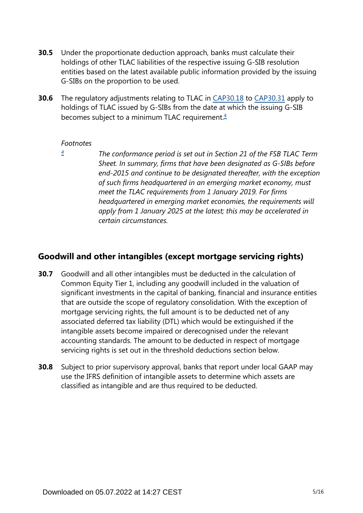- Under the proportionate deduction approach, banks must calculate their holdings of other TLAC liabilities of the respective issuing G-SIB resolution entities based on the latest available public information provided by the issuing G-SIBs on the proportion to be used. **30.5**
- <span id="page-4-1"></span>The regulatory adjustments relating to TLAC in [CAP30.18](https://www.bis.org/basel_framework/chapter/CAP/30.htm?tldate=20210228&inforce=20191215&published=20191215#paragraph_CAP_30_20191215_30_18) to [CAP30.31](https://www.bis.org/basel_framework/chapter/CAP/30.htm?tldate=20210228&inforce=20191215&published=20191215#paragraph_CAP_30_20191215_30_31) apply to holdings of TLAC issued by G-SIBs from the date at which the issuing G-SIB becomes subject to a minimum TLAC requirement.<sup>[4](#page-4-0)</sup> **30.6**

## *Footnotes*

<span id="page-4-0"></span>*[4](#page-4-1)*

*The conformance period is set out in Section 21 of the FSB TLAC Term Sheet. In summary, firms that have been designated as G-SIBs before end-2015 and continue to be designated thereafter, with the exception of such firms headquartered in an emerging market economy, must meet the TLAC requirements from 1 January 2019. For firms headquartered in emerging market economies, the requirements will apply from 1 January 2025 at the latest; this may be accelerated in certain circumstances.*

## **Goodwill and other intangibles (except mortgage servicing rights)**

- Goodwill and all other intangibles must be deducted in the calculation of Common Equity Tier 1, including any goodwill included in the valuation of significant investments in the capital of banking, financial and insurance entities that are outside the scope of regulatory consolidation. With the exception of mortgage servicing rights, the full amount is to be deducted net of any associated deferred tax liability (DTL) which would be extinguished if the intangible assets become impaired or derecognised under the relevant accounting standards. The amount to be deducted in respect of mortgage servicing rights is set out in the threshold deductions section below. **30.7**
- Subject to prior supervisory approval, banks that report under local GAAP may use the IFRS definition of intangible assets to determine which assets are classified as intangible and are thus required to be deducted. **30.8**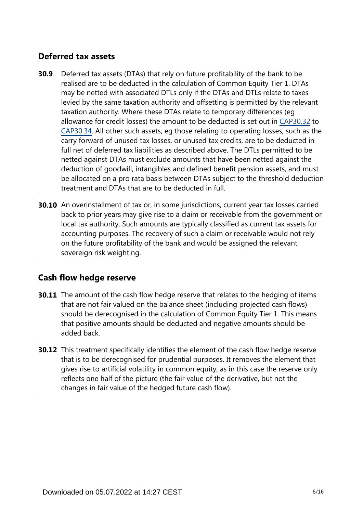## **Deferred tax assets**

- Deferred tax assets (DTAs) that rely on future profitability of the bank to be realised are to be deducted in the calculation of Common Equity Tier 1. DTAs may be netted with associated DTLs only if the DTAs and DTLs relate to taxes levied by the same taxation authority and offsetting is permitted by the relevant taxation authority. Where these DTAs relate to temporary differences (eg allowance for credit losses) the amount to be deducted is set out in [CAP30.32](https://www.bis.org/basel_framework/chapter/CAP/30.htm?tldate=20210228&inforce=20191215&published=20191215#paragraph_CAP_30_20191215_30_32) to [CAP30.34.](https://www.bis.org/basel_framework/chapter/CAP/30.htm?tldate=20210228&inforce=20191215&published=20191215#paragraph_CAP_30_20191215_30_34) All other such assets, eg those relating to operating losses, such as the carry forward of unused tax losses, or unused tax credits, are to be deducted in full net of deferred tax liabilities as described above. The DTLs permitted to be netted against DTAs must exclude amounts that have been netted against the deduction of goodwill, intangibles and defined benefit pension assets, and must be allocated on a pro rata basis between DTAs subject to the threshold deduction treatment and DTAs that are to be deducted in full. **30.9**
- **30.10** An overinstallment of tax or, in some jurisdictions, current year tax losses carried back to prior years may give rise to a claim or receivable from the government or local tax authority. Such amounts are typically classified as current tax assets for accounting purposes. The recovery of such a claim or receivable would not rely on the future profitability of the bank and would be assigned the relevant sovereign risk weighting.

# **Cash flow hedge reserve**

- **30.11** The amount of the cash flow hedge reserve that relates to the hedging of items that are not fair valued on the balance sheet (including projected cash flows) should be derecognised in the calculation of Common Equity Tier 1. This means that positive amounts should be deducted and negative amounts should be added back.
- **30.12** This treatment specifically identifies the element of the cash flow hedge reserve that is to be derecognised for prudential purposes. It removes the element that gives rise to artificial volatility in common equity, as in this case the reserve only reflects one half of the picture (the fair value of the derivative, but not the changes in fair value of the hedged future cash flow).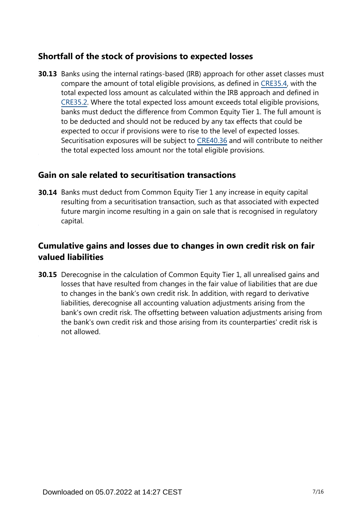## **Shortfall of the stock of provisions to expected losses**

**30.13** Banks using the internal ratings-based (IRB) approach for other asset classes must compare the amount of total eligible provisions, as defined in [CRE35.4,](https://www.bis.org/basel_framework/chapter/CRE/35.htm?tldate=20210228&inforce=20191215&published=20191215#paragraph_CRE_35_20191215_35_4) with the total expected loss amount as calculated within the IRB approach and defined in [CRE35.2.](https://www.bis.org/basel_framework/chapter/CRE/35.htm?tldate=20210228&inforce=20191215&published=20191215#paragraph_CRE_35_20191215_35_2) Where the total expected loss amount exceeds total eligible provisions, banks must deduct the difference from Common Equity Tier 1. The full amount is to be deducted and should not be reduced by any tax effects that could be expected to occur if provisions were to rise to the level of expected losses. Securitisation exposures will be subject to [CRE40.36](https://www.bis.org/basel_framework/chapter/CRE/40.htm?tldate=20210228&inforce=20191215&published=20191215#paragraph_CRE_40_20191215_40_36) and will contribute to neither the total expected loss amount nor the total eligible provisions.

## **Gain on sale related to securitisation transactions**

**30.14** Banks must deduct from Common Equity Tier 1 any increase in equity capital resulting from a securitisation transaction, such as that associated with expected future margin income resulting in a gain on sale that is recognised in regulatory capital.

# **Cumulative gains and losses due to changes in own credit risk on fair valued liabilities**

**30.15** Derecognise in the calculation of Common Equity Tier 1, all unrealised gains and losses that have resulted from changes in the fair value of liabilities that are due to changes in the bank's own credit risk. In addition, with regard to derivative liabilities, derecognise all accounting valuation adjustments arising from the bank's own credit risk. The offsetting between valuation adjustments arising from the bank's own credit risk and those arising from its counterparties' credit risk is not allowed.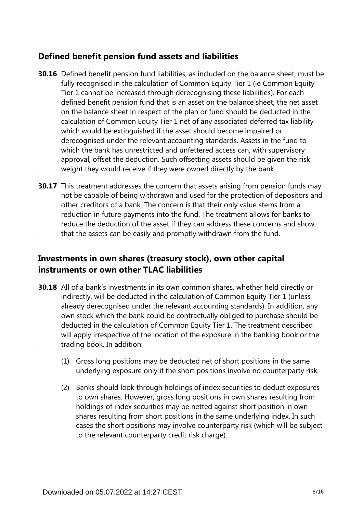# **Defined benefit pension fund assets and liabilities**

- **30.16** Defined benefit pension fund liabilities, as included on the balance sheet, must be fully recognised in the calculation of Common Equity Tier 1 (ie Common Equity Tier 1 cannot be increased through derecognising these liabilities). For each defined benefit pension fund that is an asset on the balance sheet, the net asset on the balance sheet in respect of the plan or fund should be deducted in the calculation of Common Equity Tier 1 net of any associated deferred tax liability which would be extinguished if the asset should become impaired or derecognised under the relevant accounting standards. Assets in the fund to which the bank has unrestricted and unfettered access can, with supervisory approval, offset the deduction. Such offsetting assets should be given the risk weight they would receive if they were owned directly by the bank.
- **30.17** This treatment addresses the concern that assets arising from pension funds may not be capable of being withdrawn and used for the protection of depositors and other creditors of a bank. The concern is that their only value stems from a reduction in future payments into the fund. The treatment allows for banks to reduce the deduction of the asset if they can address these concerns and show that the assets can be easily and promptly withdrawn from the fund.

# **Investments in own shares (treasury stock), own other capital instruments or own other TLAC liabilities**

- **30.18** All of a bank's investments in its own common shares, whether held directly or indirectly, will be deducted in the calculation of Common Equity Tier 1 (unless already derecognised under the relevant accounting standards). In addition, any own stock which the bank could be contractually obliged to purchase should be deducted in the calculation of Common Equity Tier 1. The treatment described will apply irrespective of the location of the exposure in the banking book or the trading book. In addition:
	- (1) Gross long positions may be deducted net of short positions in the same underlying exposure only if the short positions involve no counterparty risk.
	- (2) Banks should look through holdings of index securities to deduct exposures to own shares. However, gross long positions in own shares resulting from holdings of index securities may be netted against short position in own shares resulting from short positions in the same underlying index. In such cases the short positions may involve counterparty risk (which will be subject to the relevant counterparty credit risk charge).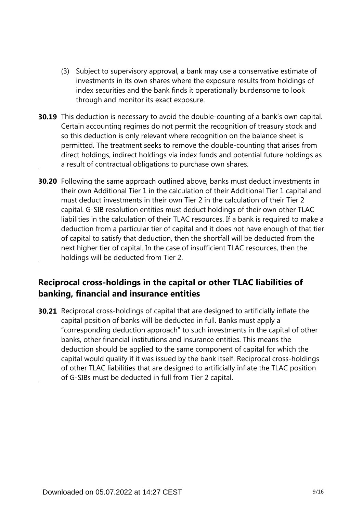- (3) Subject to supervisory approval, a bank may use a conservative estimate of investments in its own shares where the exposure results from holdings of index securities and the bank finds it operationally burdensome to look through and monitor its exact exposure.
- **30.19** This deduction is necessary to avoid the double-counting of a bank's own capital. Certain accounting regimes do not permit the recognition of treasury stock and so this deduction is only relevant where recognition on the balance sheet is permitted. The treatment seeks to remove the double-counting that arises from direct holdings, indirect holdings via index funds and potential future holdings as a result of contractual obligations to purchase own shares.
- **30.20** Following the same approach outlined above, banks must deduct investments in their own Additional Tier 1 in the calculation of their Additional Tier 1 capital and must deduct investments in their own Tier 2 in the calculation of their Tier 2 capital. G-SIB resolution entities must deduct holdings of their own other TLAC liabilities in the calculation of their TLAC resources. If a bank is required to make a deduction from a particular tier of capital and it does not have enough of that tier of capital to satisfy that deduction, then the shortfall will be deducted from the next higher tier of capital. In the case of insufficient TLAC resources, then the holdings will be deducted from Tier 2.

## **Reciprocal cross-holdings in the capital or other TLAC liabilities of banking, financial and insurance entities**

**30.21** Reciprocal cross-holdings of capital that are designed to artificially inflate the capital position of banks will be deducted in full. Banks must apply a "corresponding deduction approach" to such investments in the capital of other banks, other financial institutions and insurance entities. This means the deduction should be applied to the same component of capital for which the capital would qualify if it was issued by the bank itself. Reciprocal cross-holdings of other TLAC liabilities that are designed to artificially inflate the TLAC position of G-SIBs must be deducted in full from Tier 2 capital.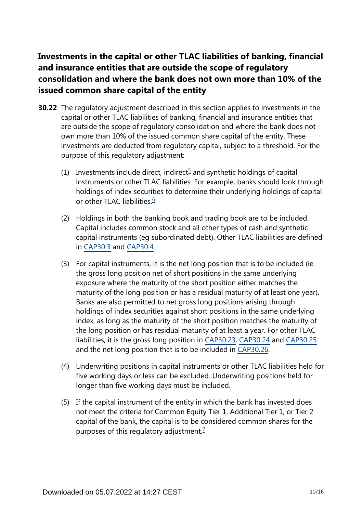# **Investments in the capital or other TLAC liabilities of banking, financial and insurance entities that are outside the scope of regulatory consolidation and where the bank does not own more than 10% of the issued common share capital of the entity**

- <span id="page-9-2"></span><span id="page-9-1"></span><span id="page-9-0"></span>**30.22** The regulatory adjustment described in this section applies to investments in the capital or other TLAC liabilities of banking, financial and insurance entities that are outside the scope of regulatory consolidation and where the bank does not own more than 10% of the issued common share capital of the entity. These investments are deducted from regulatory capital, subject to a threshold. For the purpose of this regulatory adjustment:
	- (1) Investments include direct, indirect<sup>[5](#page-10-0)</sup> and synthetic holdings of capital instruments or other TLAC liabilities. For example, banks should look through holdings of index securities to determine their underlying holdings of capital or other TLAC liabilities.<sup>[6](#page-10-1)</sup>
	- (2) Holdings in both the banking book and trading book are to be included. Capital includes common stock and all other types of cash and synthetic capital instruments (eg subordinated debt). Other TLAC liabilities are defined in [CAP30.3](https://www.bis.org/basel_framework/chapter/CAP/30.htm?tldate=20210228&inforce=20191215&published=20191215#paragraph_CAP_30_20191215_30_3) and [CAP30.4](https://www.bis.org/basel_framework/chapter/CAP/30.htm?tldate=20210228&inforce=20191215&published=20191215#paragraph_CAP_30_20191215_30_4).
	- (3) For capital instruments, it is the net long position that is to be included (ie the gross long position net of short positions in the same underlying exposure where the maturity of the short position either matches the maturity of the long position or has a residual maturity of at least one year). Banks are also permitted to net gross long positions arising through holdings of index securities against short positions in the same underlying index, as long as the maturity of the short position matches the maturity of the long position or has residual maturity of at least a year. For other TLAC liabilities, it is the gross long position in [CAP30.23,](https://www.bis.org/basel_framework/chapter/CAP/30.htm?tldate=20210228&inforce=20191215&published=20191215#paragraph_CAP_30_20191215_30_23) [CAP30.24](https://www.bis.org/basel_framework/chapter/CAP/30.htm?tldate=20210228&inforce=20191215&published=20191215#paragraph_CAP_30_20191215_30_24) and [CAP30.25](https://www.bis.org/basel_framework/chapter/CAP/30.htm?tldate=20210228&inforce=20191215&published=20191215#paragraph_CAP_30_20191215_30_25) and the net long position that is to be included in [CAP30.26](https://www.bis.org/basel_framework/chapter/CAP/30.htm?tldate=20210228&inforce=20191215&published=20191215#paragraph_CAP_30_20191215_30_26).
	- (4) Underwriting positions in capital instruments or other TLAC liabilities held for five working days or less can be excluded. Underwriting positions held for longer than five working days must be included.
	- (5) If the capital instrument of the entity in which the bank has invested does not meet the criteria for Common Equity Tier 1, Additional Tier 1, or Tier 2 capital of the bank, the capital is to be considered common shares for the purposes of this regulatory adjustment.<sup>[7](#page-10-2)</sup>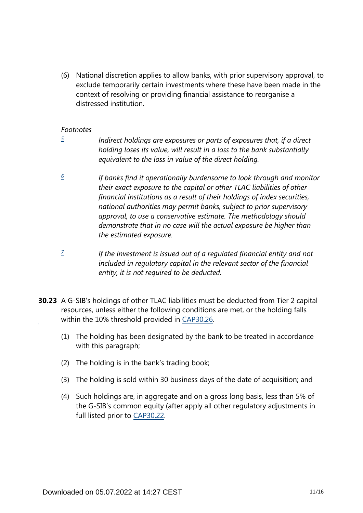(6) National discretion applies to allow banks, with prior supervisory approval, to exclude temporarily certain investments where these have been made in the context of resolving or providing financial assistance to reorganise a distressed institution.

### *Footnotes*

<span id="page-10-0"></span>*[5](#page-9-0)*

*Indirect holdings are exposures or parts of exposures that, if a direct holding loses its value, will result in a loss to the bank substantially equivalent to the loss in value of the direct holding.*

- <span id="page-10-1"></span>*If banks find it operationally burdensome to look through and monitor their exact exposure to the capital or other TLAC liabilities of other financial institutions as a result of their holdings of index securities, national authorities may permit banks, subject to prior supervisory approval, to use a conservative estimate. The methodology should demonstrate that in no case will the actual exposure be higher than the estimated exposure. [6](#page-9-1)*
- <span id="page-10-2"></span>*If the investment is issued out of a regulated financial entity and not included in regulatory capital in the relevant sector of the financial entity, it is not required to be deducted. [7](#page-9-2)*
- **30.23** A G-SIB's holdings of other TLAC liabilities must be deducted from Tier 2 capital resources, unless either the following conditions are met, or the holding falls within the 10% threshold provided in [CAP30.26](https://www.bis.org/basel_framework/chapter/CAP/30.htm?tldate=20210228&inforce=20191215&published=20191215#paragraph_CAP_30_20191215_30_26).
	- (1) The holding has been designated by the bank to be treated in accordance with this paragraph;
	- (2) The holding is in the bank's trading book;
	- (3) The holding is sold within 30 business days of the date of acquisition; and
	- (4) Such holdings are, in aggregate and on a gross long basis, less than 5% of the G-SIB's common equity (after apply all other regulatory adjustments in full listed prior to [CAP30.22](https://www.bis.org/basel_framework/chapter/CAP/30.htm?tldate=20210228&inforce=20191215&published=20191215#paragraph_CAP_30_20191215_30_22).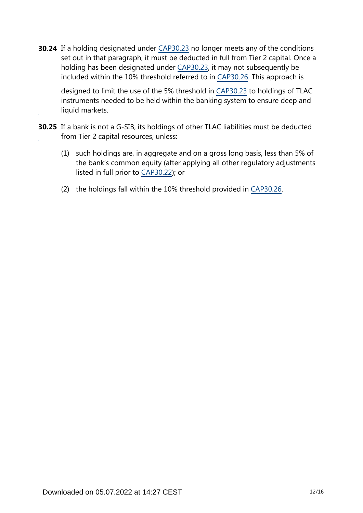**30.24** If a holding designated under [CAP30.23](https://www.bis.org/basel_framework/chapter/CAP/30.htm?tldate=20210228&inforce=20191215&published=20191215#paragraph_CAP_30_20191215_30_23) no longer meets any of the conditions set out in that paragraph, it must be deducted in full from Tier 2 capital. Once a holding has been designated under [CAP30.23](https://www.bis.org/basel_framework/chapter/CAP/30.htm?tldate=20210228&inforce=20191215&published=20191215#paragraph_CAP_30_20191215_30_23), it may not subsequently be included within the 10% threshold referred to in [CAP30.26.](https://www.bis.org/basel_framework/chapter/CAP/30.htm?tldate=20210228&inforce=20191215&published=20191215#paragraph_CAP_30_20191215_30_26) This approach is

designed to limit the use of the 5% threshold in [CAP30.23](https://www.bis.org/basel_framework/chapter/CAP/30.htm?tldate=20210228&inforce=20191215&published=20191215#paragraph_CAP_30_20191215_30_23) to holdings of TLAC instruments needed to be held within the banking system to ensure deep and liquid markets.

- **30.25** If a bank is not a G-SIB, its holdings of other TLAC liabilities must be deducted from Tier 2 capital resources, unless:
	- (1) such holdings are, in aggregate and on a gross long basis, less than 5% of the bank's common equity (after applying all other regulatory adjustments listed in full prior to [CAP30.22](https://www.bis.org/basel_framework/chapter/CAP/30.htm?tldate=20210228&inforce=20191215&published=20191215#paragraph_CAP_30_20191215_30_22)); or
	- (2) the holdings fall within the 10% threshold provided in [CAP30.26.](https://www.bis.org/basel_framework/chapter/CAP/30.htm?tldate=20210228&inforce=20191215&published=20191215#paragraph_CAP_30_20191215_30_26)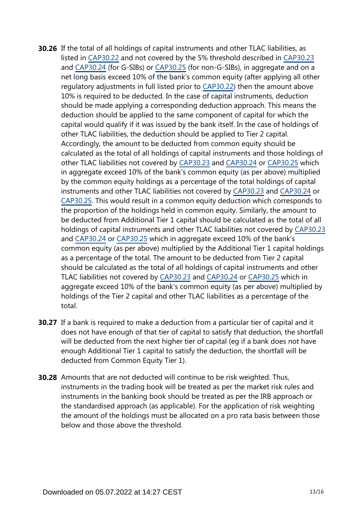- **30.26** If the total of all holdings of capital instruments and other TLAC liabilities, as listed in [CAP30.22](https://www.bis.org/basel_framework/chapter/CAP/30.htm?tldate=20210228&inforce=20191215&published=20191215#paragraph_CAP_30_20191215_30_22) and not covered by the 5% threshold described in [CAP30.23](https://www.bis.org/basel_framework/chapter/CAP/30.htm?tldate=20210228&inforce=20191215&published=20191215#paragraph_CAP_30_20191215_30_23) and [CAP30.24](https://www.bis.org/basel_framework/chapter/CAP/30.htm?tldate=20210228&inforce=20191215&published=20191215#paragraph_CAP_30_20191215_30_24) (for G-SIBs) or [CAP30.25](https://www.bis.org/basel_framework/chapter/CAP/30.htm?tldate=20210228&inforce=20191215&published=20191215#paragraph_CAP_30_20191215_30_25) (for non-G-SIBs), in aggregate and on a net long basis exceed 10% of the bank's common equity (after applying all other regulatory adjustments in full listed prior to [CAP30.22\)](https://www.bis.org/basel_framework/chapter/CAP/30.htm?tldate=20210228&inforce=20191215&published=20191215#paragraph_CAP_30_20191215_30_22) then the amount above 10% is required to be deducted. In the case of capital instruments, deduction should be made applying a corresponding deduction approach. This means the deduction should be applied to the same component of capital for which the capital would qualify if it was issued by the bank itself. In the case of holdings of other TLAC liabilities, the deduction should be applied to Tier 2 capital. Accordingly, the amount to be deducted from common equity should be calculated as the total of all holdings of capital instruments and those holdings of other TLAC liabilities not covered by [CAP30.23](https://www.bis.org/basel_framework/chapter/CAP/30.htm?tldate=20210228&inforce=20191215&published=20191215#paragraph_CAP_30_20191215_30_23) and [CAP30.24](https://www.bis.org/basel_framework/chapter/CAP/30.htm?tldate=20210228&inforce=20191215&published=20191215#paragraph_CAP_30_20191215_30_24) or [CAP30.25](https://www.bis.org/basel_framework/chapter/CAP/30.htm?tldate=20210228&inforce=20191215&published=20191215#paragraph_CAP_30_20191215_30_25) which in aggregate exceed 10% of the bank's common equity (as per above) multiplied by the common equity holdings as a percentage of the total holdings of capital instruments and other TLAC liabilities not covered by [CAP30.23](https://www.bis.org/basel_framework/chapter/CAP/30.htm?tldate=20210228&inforce=20191215&published=20191215#paragraph_CAP_30_20191215_30_23) and [CAP30.24](https://www.bis.org/basel_framework/chapter/CAP/30.htm?tldate=20210228&inforce=20191215&published=20191215#paragraph_CAP_30_20191215_30_24) or [CAP30.25.](https://www.bis.org/basel_framework/chapter/CAP/30.htm?tldate=20210228&inforce=20191215&published=20191215#paragraph_CAP_30_20191215_30_25) This would result in a common equity deduction which corresponds to the proportion of the holdings held in common equity. Similarly, the amount to be deducted from Additional Tier 1 capital should be calculated as the total of all holdings of capital instruments and other TLAC liabilities not covered by [CAP30.23](https://www.bis.org/basel_framework/chapter/CAP/30.htm?tldate=20210228&inforce=20191215&published=20191215#paragraph_CAP_30_20191215_30_23) and [CAP30.24](https://www.bis.org/basel_framework/chapter/CAP/30.htm?tldate=20210228&inforce=20191215&published=20191215#paragraph_CAP_30_20191215_30_24) or [CAP30.25](https://www.bis.org/basel_framework/chapter/CAP/30.htm?tldate=20210228&inforce=20191215&published=20191215#paragraph_CAP_30_20191215_30_25) which in aggregate exceed 10% of the bank's common equity (as per above) multiplied by the Additional Tier 1 capital holdings as a percentage of the total. The amount to be deducted from Tier 2 capital should be calculated as the total of all holdings of capital instruments and other TLAC liabilities not covered by [CAP30.23](https://www.bis.org/basel_framework/chapter/CAP/30.htm?tldate=20210228&inforce=20191215&published=20191215#paragraph_CAP_30_20191215_30_23) and [CAP30.24](https://www.bis.org/basel_framework/chapter/CAP/30.htm?tldate=20210228&inforce=20191215&published=20191215#paragraph_CAP_30_20191215_30_24) or [CAP30.25](https://www.bis.org/basel_framework/chapter/CAP/30.htm?tldate=20210228&inforce=20191215&published=20191215#paragraph_CAP_30_20191215_30_25) which in aggregate exceed 10% of the bank's common equity (as per above) multiplied by holdings of the Tier 2 capital and other TLAC liabilities as a percentage of the total.
- **30.27** If a bank is required to make a deduction from a particular tier of capital and it does not have enough of that tier of capital to satisfy that deduction, the shortfall will be deducted from the next higher tier of capital (eg if a bank does not have enough Additional Tier 1 capital to satisfy the deduction, the shortfall will be deducted from Common Equity Tier 1).
- **30.28** Amounts that are not deducted will continue to be risk weighted. Thus, instruments in the trading book will be treated as per the market risk rules and instruments in the banking book should be treated as per the IRB approach or the standardised approach (as applicable). For the application of risk weighting the amount of the holdings must be allocated on a pro rata basis between those below and those above the threshold.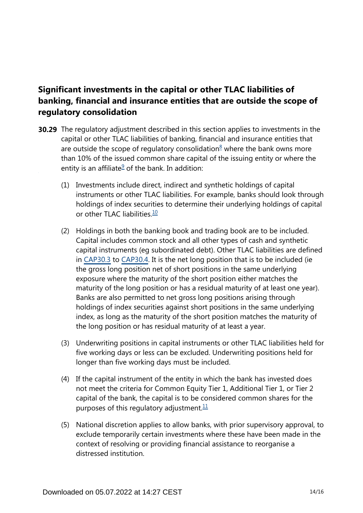# **Significant investments in the capital or other TLAC liabilities of banking, financial and insurance entities that are outside the scope of regulatory consolidation**

- <span id="page-13-3"></span><span id="page-13-2"></span><span id="page-13-1"></span><span id="page-13-0"></span>**30.29** The regulatory adjustment described in this section applies to investments in the capital or other TLAC liabilities of banking, financial and insurance entities that are outside the scope of regulatory consolidation $8$  where the bank owns more than 10% of the issued common share capital of the issuing entity or where the entity is an affiliate $9$  of the bank. In addition:
	- (1) Investments include direct, indirect and synthetic holdings of capital instruments or other TLAC liabilities. For example, banks should look through holdings of index securities to determine their underlying holdings of capital or other TLAC liabilities  $\frac{10}{10}$  $\frac{10}{10}$  $\frac{10}{10}$
	- (2) Holdings in both the banking book and trading book are to be included. Capital includes common stock and all other types of cash and synthetic capital instruments (eg subordinated debt). Other TLAC liabilities are defined in [CAP30.3](https://www.bis.org/basel_framework/chapter/CAP/30.htm?tldate=20210228&inforce=20191215&published=20191215#paragraph_CAP_30_20191215_30_3) to [CAP30.4](https://www.bis.org/basel_framework/chapter/CAP/30.htm?tldate=20210228&inforce=20191215&published=20191215#paragraph_CAP_30_20191215_30_4). It is the net long position that is to be included (ie the gross long position net of short positions in the same underlying exposure where the maturity of the short position either matches the maturity of the long position or has a residual maturity of at least one year). Banks are also permitted to net gross long positions arising through holdings of index securities against short positions in the same underlying index, as long as the maturity of the short position matches the maturity of the long position or has residual maturity of at least a year.
	- (3) Underwriting positions in capital instruments or other TLAC liabilities held for five working days or less can be excluded. Underwriting positions held for longer than five working days must be included.
	- (4) If the capital instrument of the entity in which the bank has invested does not meet the criteria for Common Equity Tier 1, Additional Tier 1, or Tier 2 capital of the bank, the capital is to be considered common shares for the purposes of this regulatory adjustment. $11$
	- (5) National discretion applies to allow banks, with prior supervisory approval, to exclude temporarily certain investments where these have been made in the context of resolving or providing financial assistance to reorganise a distressed institution.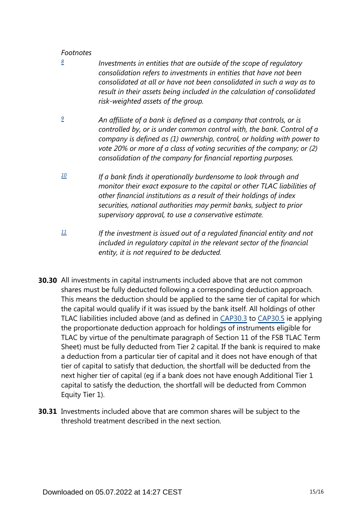## *Footnotes*

- <span id="page-14-0"></span>*Investments in entities that are outside of the scope of regulatory consolidation refers to investments in entities that have not been consolidated at all or have not been consolidated in such a way as to result in their assets being included in the calculation of consolidated risk-weighted assets of the group. [8](#page-13-0)*
- <span id="page-14-1"></span>*An affiliate of a bank is defined as a company that controls, or is controlled by, or is under common control with, the bank. Control of a company is defined as (1) ownership, control, or holding with power to vote 20% or more of a class of voting securities of the company; or (2) consolidation of the company for financial reporting purposes. [9](#page-13-1)*
- <span id="page-14-2"></span>*If a bank finds it operationally burdensome to look through and monitor their exact exposure to the capital or other TLAC liabilities of other financial institutions as a result of their holdings of index securities, national authorities may permit banks, subject to prior supervisory approval, to use a conservative estimate. [10](#page-13-2)*
- <span id="page-14-3"></span>*If the investment is issued out of a regulated financial entity and not included in regulatory capital in the relevant sector of the financial entity, it is not required to be deducted. [11](#page-13-3)*
- **30.30** All investments in capital instruments included above that are not common shares must be fully deducted following a corresponding deduction approach. This means the deduction should be applied to the same tier of capital for which the capital would qualify if it was issued by the bank itself. All holdings of other TLAC liabilities included above (and as defined in [CAP30.3](https://www.bis.org/basel_framework/chapter/CAP/30.htm?tldate=20210228&inforce=20191215&published=20191215#paragraph_CAP_30_20191215_30_3) to [CAP30.5](https://www.bis.org/basel_framework/chapter/CAP/30.htm?tldate=20210228&inforce=20191215&published=20191215#paragraph_CAP_30_20191215_30_5) ie applying the proportionate deduction approach for holdings of instruments eligible for TLAC by virtue of the penultimate paragraph of Section 11 of the FSB TLAC Term Sheet) must be fully deducted from Tier 2 capital. If the bank is required to make a deduction from a particular tier of capital and it does not have enough of that tier of capital to satisfy that deduction, the shortfall will be deducted from the next higher tier of capital (eg if a bank does not have enough Additional Tier 1 capital to satisfy the deduction, the shortfall will be deducted from Common Equity Tier 1).
- **30.31** Investments included above that are common shares will be subject to the threshold treatment described in the next section.